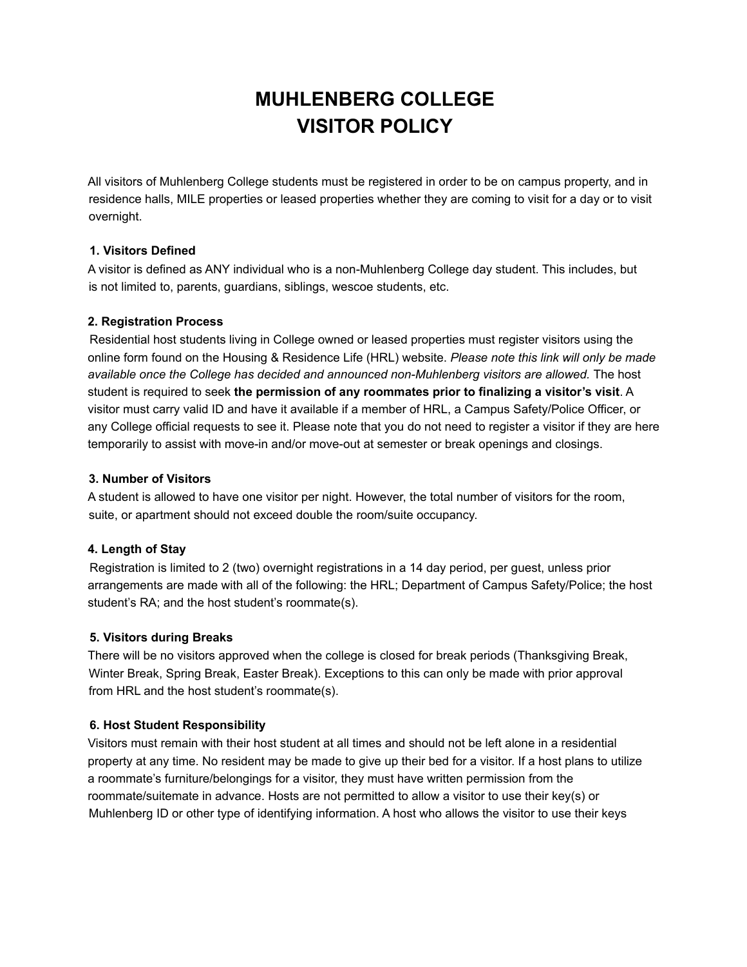# **MUHLENBERG COLLEGE VISITOR POLICY**

All visitors of Muhlenberg College students must be registered in order to be on campus property, and in residence halls, MILE properties or leased properties whether they are coming to visit for a day or to visit overnight.

# **1. Visitors Defined**

A visitor is defined as ANY individual who is a non-Muhlenberg College day student. This includes, but is not limited to, parents, guardians, siblings, wescoe students, etc.

# **2. Registration Process**

Residential host students living in College owned or leased properties must register visitors using the online form found on the Housing & Residence Life (HRL) website. *Please note this link will only be made available once the College has decided and announced non-Muhlenberg visitors are allowed.* The host student is required to seek **the permission of any roommates prior to finalizing a visitor's visit**. A visitor must carry valid ID and have it available if a member of HRL, a Campus Safety/Police Officer, or any College official requests to see it. Please note that you do not need to register a visitor if they are here temporarily to assist with move-in and/or move-out at semester or break openings and closings.

# **3. Number of Visitors**

A student is allowed to have one visitor per night. However, the total number of visitors for the room, suite, or apartment should not exceed double the room/suite occupancy.

# **4. Length of Stay**

Registration is limited to 2 (two) overnight registrations in a 14 day period, per guest, unless prior arrangements are made with all of the following: the HRL; Department of Campus Safety/Police; the host student's RA; and the host student's roommate(s).

### **5. Visitors during Breaks**

There will be no visitors approved when the college is closed for break periods (Thanksgiving Break, Winter Break, Spring Break, Easter Break). Exceptions to this can only be made with prior approval from HRL and the host student's roommate(s).

### **6. Host Student Responsibility**

Visitors must remain with their host student at all times and should not be left alone in a residential property at any time. No resident may be made to give up their bed for a visitor. If a host plans to utilize a roommate's furniture/belongings for a visitor, they must have written permission from the roommate/suitemate in advance. Hosts are not permitted to allow a visitor to use their key(s) or Muhlenberg ID or other type of identifying information. A host who allows the visitor to use their keys